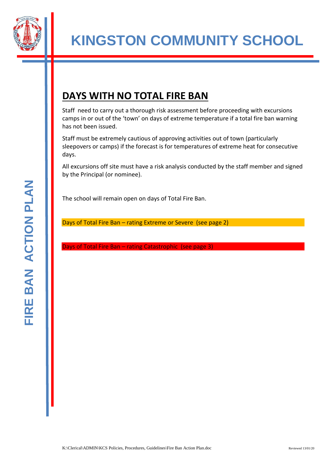

# **DAYS WITH NO TOTAL FIRE BAN**

Staff need to carry out a thorough risk assessment before proceeding with excursions camps in or out of the 'town' on days of extreme temperature if a total fire ban warning has not been issued.

Staff must be extremely cautious of approving activities out of town (particularly sleepovers or camps) if the forecast is for temperatures of extreme heat for consecutive days.

All excursions off site must have a risk analysis conducted by the staff member and signed by the Principal (or nominee).

The school will remain open on days of Total Fire Ban.

Days of Total Fire Ban – rating Extreme or Severe (see page 2)

Days of Total Fire Ban – rating Catastrophic (see page 3)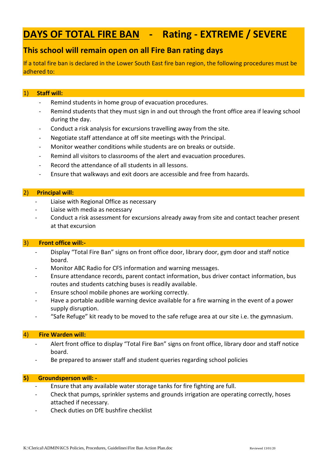## **DAYS OF TOTAL FIRE BAN - Rating - EXTREME / SEVERE**

## **This school will remain open on all Fire Ban rating days**

If a total fire ban is declared in the Lower South East fire ban region, the following procedures must be adhered to:

#### 1) **Staff will:**

- Remind students in home group of evacuation procedures.
- Remind students that they must sign in and out through the front office area if leaving school during the day.
- Conduct a risk analysis for excursions travelling away from the site.
- Negotiate staff attendance at off site meetings with the Principal.
- Monitor weather conditions while students are on breaks or outside.
- Remind all visitors to classrooms of the alert and evacuation procedures.
- Record the attendance of all students in all lessons.
- Ensure that walkways and exit doors are accessible and free from hazards.

#### 2) **Principal will:**

- Liaise with Regional Office as necessary
- Liaise with media as necessary
- Conduct a risk assessment for excursions already away from site and contact teacher present at that excursion

#### 3) **Front office will:-**

- Display "Total Fire Ban" signs on front office door, library door, gym door and staff notice board.
- Monitor ABC Radio for CFS information and warning messages.
- Ensure attendance records, parent contact information, bus driver contact information, bus routes and students catching buses is readily available.
- Ensure school mobile phones are working correctly.
- Have a portable audible warning device available for a fire warning in the event of a power supply disruption.
- "Safe Refuge" kit ready to be moved to the safe refuge area at our site i.e. the gymnasium.

#### 4) **Fire Warden will:**

- Alert front office to display "Total Fire Ban" signs on front office, library door and staff notice board.
- Be prepared to answer staff and student queries regarding school policies

#### **5) Groundsperson will: -**

- Ensure that any available water storage tanks for fire fighting are full.
- Check that pumps, sprinkler systems and grounds irrigation are operating correctly, hoses attached if necessary.
- Check duties on DfE bushfire checklist